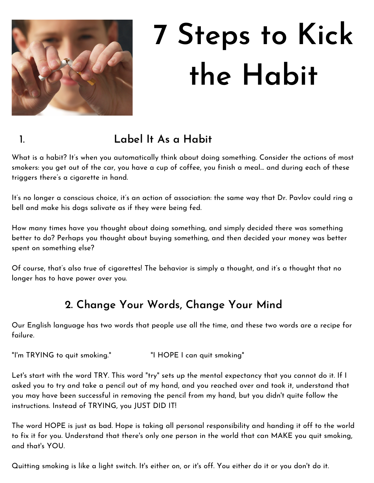

# **7 Steps to Kick the Habit**

## 1. **Label It As a Habit**

What is a habit? It's when you automatically think about doing something. Consider the actions of most smokers: you get out of the car, you have a cup of coffee, you finish a meal… and during each of these triggers there's a cigarette in hand.

It's no longer a conscious choice, it's an action of association: the same way that Dr. Pavlov could ring a bell and make his dogs salivate as if they were being fed.

How many times have you thought about doing something, and simply decided there was something better to do? Perhaps you thought about buying something, and then decided your money was better spent on something else?

Of course, that's also true of cigarettes! The behavior is simply a thought, and it's a thought that no longer has to have power over you.

#### **2. Change Your Words, Change Your Mind**

Our English language has two words that people use all the time, and these two words are a recipe for failure.

"I'm TRYING to quit smoking." "I HOPE I can quit smoking"

Let's start with the word TRY. This word "try" sets up the mental expectancy that you cannot do it. If I asked you to try and take a pencil out of my hand, and you reached over and took it, understand that you may have been successful in removing the pencil from my hand, but you didn't quite follow the instructions. Instead of TRYING, you JUST DID IT!

The word HOPE is just as bad. Hope is taking all personal responsibility and handing it off to the world to fix it for you. Understand that there's only one person in the world that can MAKE you quit smoking, and that's YOU.

Quitting smoking is like a light switch. It's either on, or it's off. You either do it or you don't do it.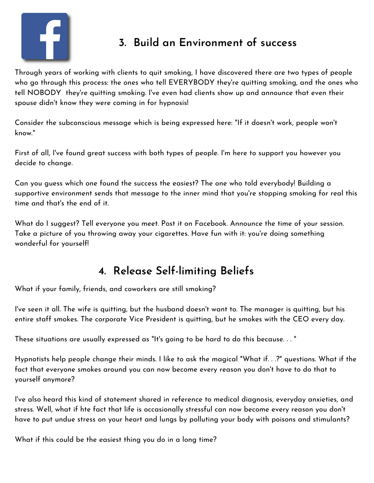

#### **3. Build an Environment of success**

Through years of working with clients to quit smoking, I have discovered there are two types of people who go through this process: the ones who tell EVERYBODY they're quitting smoking, and the ones who tell NOBODY they're quitting smoking. I've even had clients show up and announce that even their spouse didn't know they were coming in for hypnosis!

Consider the subconscious message which is being expressed here: "If it doesn't work, people won't know."

First of all, I've found great success with both types of people. I'm here to support you however you decide to change.

Can you guess which one found the success the easiest? The one who told everybody! Building a supportive environment sends that message to the inner mind that you're stopping smoking for real this time and that's the end of it.

What do I suggest? Tell everyone you meet. Post it on Facebook. Announce the time of your session. Take a picture of you throwing away your cigarettes. Have fun with it: you're doing something wonderful for yourself!

#### **4. Release Self-limiting Beliefs**

What if your family, friends, and coworkers are still smoking?

I've seen it all. The wife is quitting, but the husband doesn't want to. The manager is quitting, but his entire staff smokes. The corporate Vice President is quitting, but he smokes with the CEO every day.

These situations are usually expressed as "It's going to be hard to do this because. . . "

Hypnotists help people change their minds. I like to ask the magical "What if. . .?" questions. What if the fact that everyone smokes around you can now become every reason you don't have to do that to yourself anymore?

I've also heard this kind of statement shared in reference to medical diagnosis, everyday anxieties, and stress. Well, what if hte fact that life is occasionally stressful can now become every reason you don't have to put undue stress on your heart and lungs by polluting your body with poisons and stimulants?

What if this could be the easiest thing you do in a long time?